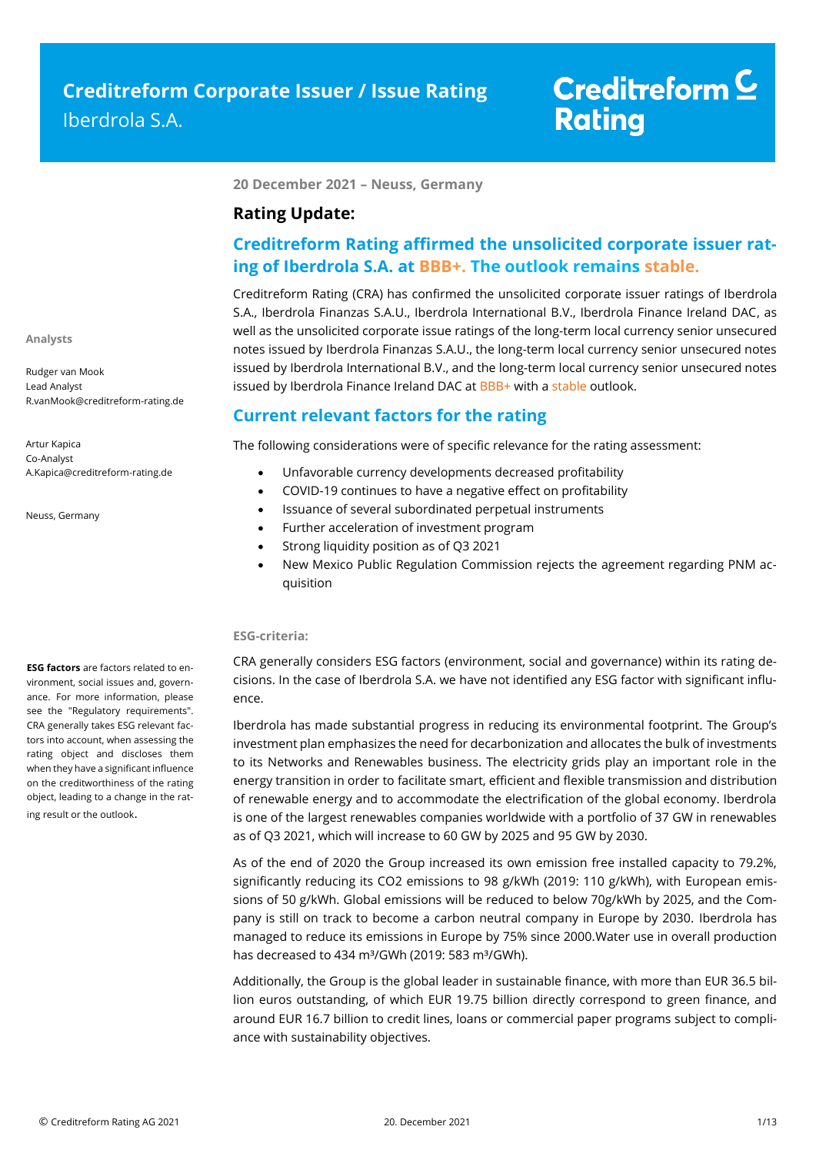**20 December 2021 – Neuss, Germany**

## **Rating Update:**

## **Creditreform Rating affirmed the unsolicited corporate issuer rating of Iberdrola S.A. at BBB+. The outlook remains stable.**

Creditreform Rating (CRA) has confirmed the unsolicited corporate issuer ratings of Iberdrola S.A., Iberdrola Finanzas S.A.U., Iberdrola International B.V., Iberdrola Finance Ireland DAC, as well as the unsolicited corporate issue ratings of the long-term local currency senior unsecured notes issued by Iberdrola Finanzas S.A.U., the long-term local currency senior unsecured notes issued by Iberdrola International B.V., and the long-term local currency senior unsecured notes issued by Iberdrola Finance Ireland DAC at BBB+ with a stable outlook.

## **Current relevant factors for the rating**

The following considerations were of specific relevance for the rating assessment:

- Unfavorable currency developments decreased profitability
- COVID-19 continues to have a negative effect on profitability
- Issuance of several subordinated perpetual instruments
- Further acceleration of investment program
- Strong liquidity position as of Q3 2021
- New Mexico Public Regulation Commission rejects the agreement regarding PNM acquisition

### **ESG-criteria:**

CRA generally considers ESG factors (environment, social and governance) within its rating decisions. In the case of Iberdrola S.A. we have not identified any ESG factor with significant influence.

Iberdrola has made substantial progress in reducing its environmental footprint. The Group's investment plan emphasizes the need for decarbonization and allocates the bulk of investments to its Networks and Renewables business. The electricity grids play an important role in the energy transition in order to facilitate smart, efficient and flexible transmission and distribution of renewable energy and to accommodate the electrification of the global economy. Iberdrola is one of the largest renewables companies worldwide with a portfolio of 37 GW in renewables as of Q3 2021, which will increase to 60 GW by 2025 and 95 GW by 2030.

As of the end of 2020 the Group increased its own emission free installed capacity to 79.2%, significantly reducing its CO2 emissions to 98 g/kWh (2019: 110 g/kWh), with European emissions of 50 g/kWh. Global emissions will be reduced to below 70g/kWh by 2025, and the Company is still on track to become a carbon neutral company in Europe by 2030. Iberdrola has managed to reduce its emissions in Europe by 75% since 2000.Water use in overall production has decreased to 434 m<sup>3</sup>/GWh (2019: 583 m<sup>3</sup>/GWh).

Additionally, the Group is the global leader in sustainable finance, with more than EUR 36.5 billion euros outstanding, of which EUR 19.75 billion directly correspond to green finance, and around EUR 16.7 billion to credit lines, loans or commercial paper programs subject to compliance with sustainability objectives.

**ESG factors** are factors related to environment, social issues and, governance. For more information, please see the "Regulatory requirements". CRA generally takes ESG relevant factors into account, when assessing the rating object and discloses them when they have a significant influence on the creditworthiness of the rating object, leading to a change in the rat-

ing result or the outlook.

**Analysts**

Rudger van Mook Lead Analyst R.vanMook@creditreform-rating.de

Artur Kapica Co-Analyst A.Kapica@creditreform-rating.de

Neuss, Germany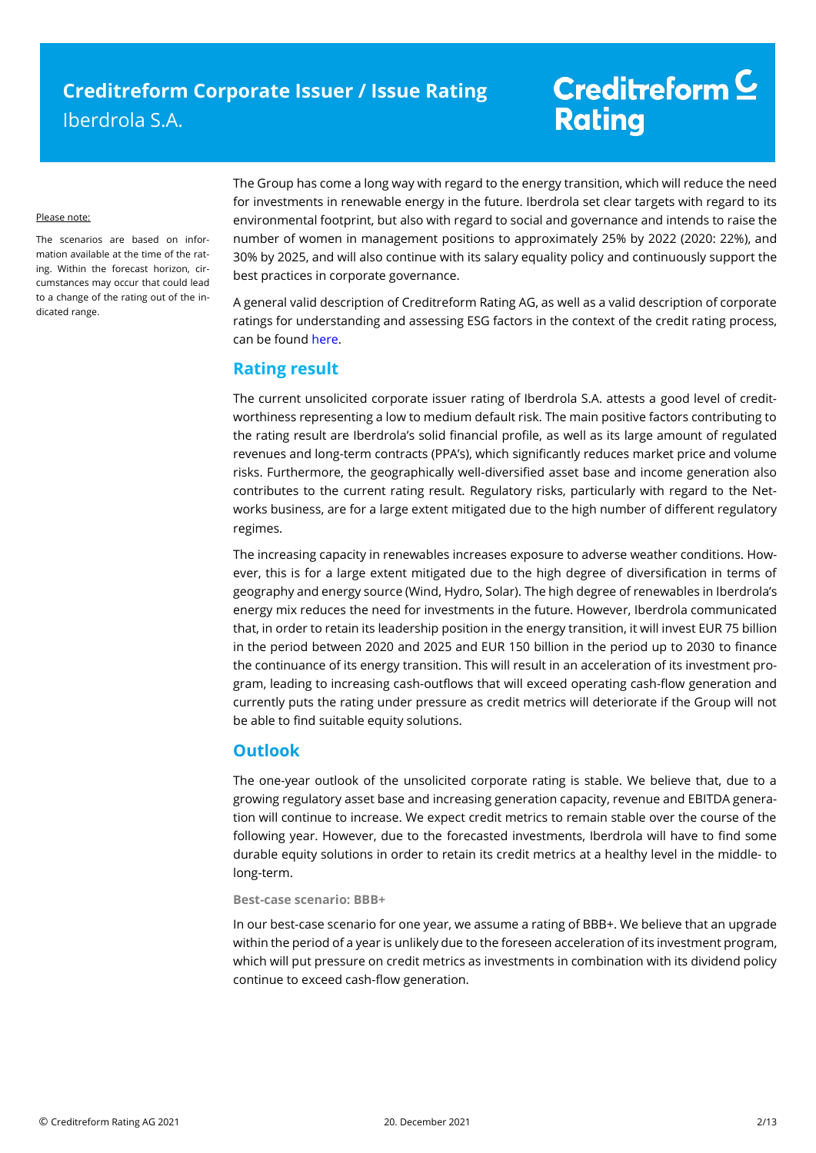#### Please note:

The scenarios are based on information available at the time of the rating. Within the forecast horizon, circumstances may occur that could lead to a change of the rating out of the indicated range.

The Group has come a long way with regard to the energy transition, which will reduce the need for investments in renewable energy in the future. Iberdrola set clear targets with regard to its environmental footprint, but also with regard to social and governance and intends to raise the number of women in management positions to approximately 25% by 2022 (2020: 22%), and 30% by 2025, and will also continue with its salary equality policy and continuously support the best practices in corporate governance.

A general valid description of Creditreform Rating AG, as well as a valid description of corporate ratings for understanding and assessing ESG factors in the context of the credit rating process, can be foun[d here.](https://creditreform-rating.de/en/about-us/regulatory-requirements.html?file=files/content/downloads/Externes%20Rating/Regulatorische%20Anforderungen/EN/Ratingmethodiken%20EN/The%20Impact%20of%20ESG%20Factors%20on%20Credit%20Ratings.pdf)

## **Rating result**

The current unsolicited corporate issuer rating of Iberdrola S.A. attests a good level of creditworthiness representing a low to medium default risk. The main positive factors contributing to the rating result are Iberdrola's solid financial profile, as well as its large amount of regulated revenues and long-term contracts (PPA's), which significantly reduces market price and volume risks. Furthermore, the geographically well-diversified asset base and income generation also contributes to the current rating result. Regulatory risks, particularly with regard to the Networks business, are for a large extent mitigated due to the high number of different regulatory regimes.

The increasing capacity in renewables increases exposure to adverse weather conditions. However, this is for a large extent mitigated due to the high degree of diversification in terms of geography and energy source (Wind, Hydro, Solar). The high degree of renewables in Iberdrola's energy mix reduces the need for investments in the future. However, Iberdrola communicated that, in order to retain its leadership position in the energy transition, it will invest EUR 75 billion in the period between 2020 and 2025 and EUR 150 billion in the period up to 2030 to finance the continuance of its energy transition. This will result in an acceleration of its investment program, leading to increasing cash-outflows that will exceed operating cash-flow generation and currently puts the rating under pressure as credit metrics will deteriorate if the Group will not be able to find suitable equity solutions.

## **Outlook**

The one-year outlook of the unsolicited corporate rating is stable. We believe that, due to a growing regulatory asset base and increasing generation capacity, revenue and EBITDA generation will continue to increase. We expect credit metrics to remain stable over the course of the following year. However, due to the forecasted investments, Iberdrola will have to find some durable equity solutions in order to retain its credit metrics at a healthy level in the middle- to long-term.

### **Best-case scenario: BBB+**

In our best-case scenario for one year, we assume a rating of BBB+. We believe that an upgrade within the period of a year is unlikely due to the foreseen acceleration of its investment program, which will put pressure on credit metrics as investments in combination with its dividend policy continue to exceed cash-flow generation.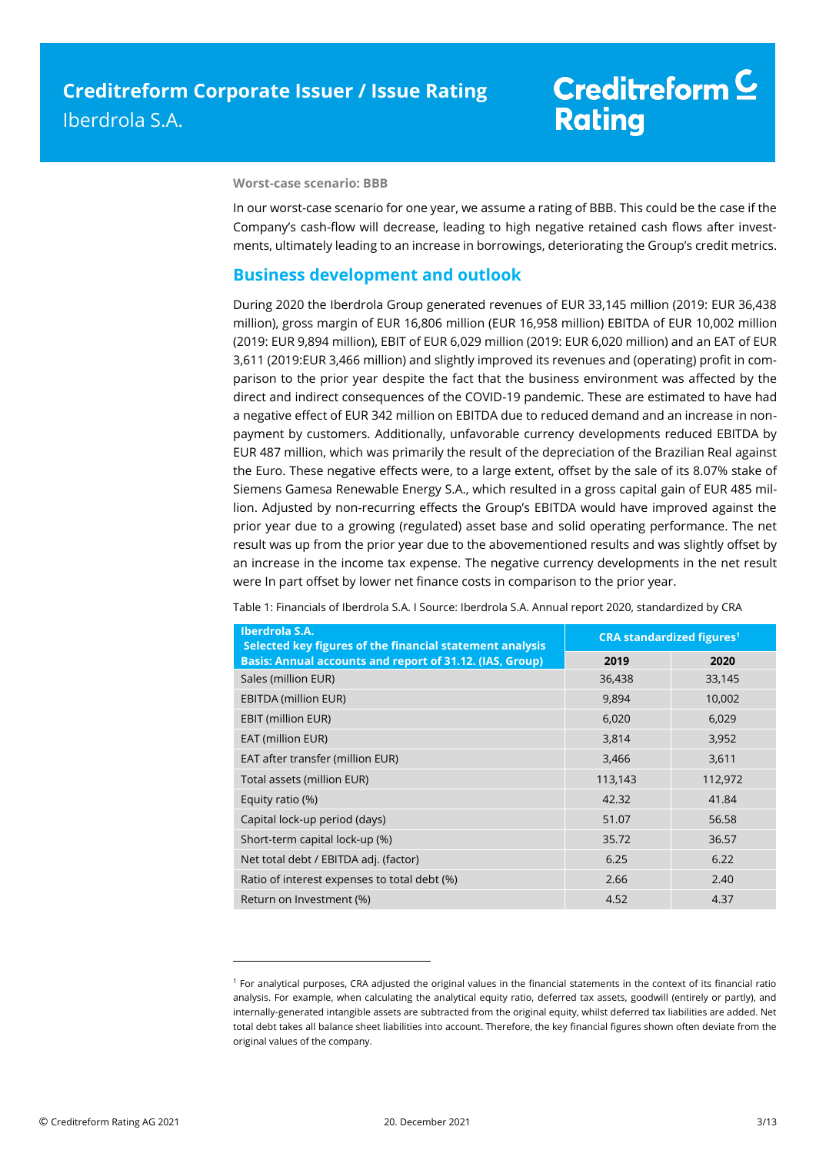# Creditreform<sup>C</sup> **Rating**

#### **Worst-case scenario: BBB**

In our worst-case scenario for one year, we assume a rating of BBB. This could be the case if the Company's cash-flow will decrease, leading to high negative retained cash flows after investments, ultimately leading to an increase in borrowings, deteriorating the Group's credit metrics.

### **Business development and outlook**

During 2020 the Iberdrola Group generated revenues of EUR 33,145 million (2019: EUR 36,438 million), gross margin of EUR 16,806 million (EUR 16,958 million) EBITDA of EUR 10,002 million (2019: EUR 9,894 million), EBIT of EUR 6,029 million (2019: EUR 6,020 million) and an EAT of EUR 3,611 (2019:EUR 3,466 million) and slightly improved its revenues and (operating) profit in comparison to the prior year despite the fact that the business environment was affected by the direct and indirect consequences of the COVID-19 pandemic. These are estimated to have had a negative effect of EUR 342 million on EBITDA due to reduced demand and an increase in nonpayment by customers. Additionally, unfavorable currency developments reduced EBITDA by EUR 487 million, which was primarily the result of the depreciation of the Brazilian Real against the Euro. These negative effects were, to a large extent, offset by the sale of its 8.07% stake of Siemens Gamesa Renewable Energy S.A., which resulted in a gross capital gain of EUR 485 million. Adjusted by non-recurring effects the Group's EBITDA would have improved against the prior year due to a growing (regulated) asset base and solid operating performance. The net result was up from the prior year due to the abovementioned results and was slightly offset by an increase in the income tax expense. The negative currency developments in the net result were In part offset by lower net finance costs in comparison to the prior year.

| Iberdrola S.A.<br>Selected key figures of the financial statement analysis | <b>CRA standardized figures<sup>1</sup></b> |         |  |
|----------------------------------------------------------------------------|---------------------------------------------|---------|--|
| Basis: Annual accounts and report of 31.12. (IAS, Group)                   | 2019                                        | 2020    |  |
| Sales (million EUR)                                                        | 36,438                                      | 33,145  |  |
| <b>EBITDA (million EUR)</b>                                                | 9,894                                       | 10,002  |  |
| EBIT (million EUR)                                                         | 6,020                                       | 6,029   |  |
| EAT (million EUR)                                                          | 3,814                                       | 3,952   |  |
| EAT after transfer (million EUR)                                           | 3,466                                       | 3,611   |  |
| Total assets (million EUR)                                                 | 113,143                                     | 112,972 |  |
| Equity ratio (%)                                                           | 42.32                                       | 41.84   |  |
| Capital lock-up period (days)                                              | 51.07                                       | 56.58   |  |
| Short-term capital lock-up (%)                                             | 35.72                                       | 36.57   |  |
| Net total debt / EBITDA adj. (factor)                                      | 6.25                                        | 6.22    |  |
| Ratio of interest expenses to total debt (%)                               | 2.66                                        | 2.40    |  |
| Return on Investment (%)                                                   | 4.52                                        | 4.37    |  |

Table 1: Financials of Iberdrola S.A. I Source: Iberdrola S.A. Annual report 2020, standardized by CRA

 $\overline{a}$ 

<sup>1</sup> For analytical purposes, CRA adjusted the original values in the financial statements in the context of its financial ratio analysis. For example, when calculating the analytical equity ratio, deferred tax assets, goodwill (entirely or partly), and internally-generated intangible assets are subtracted from the original equity, whilst deferred tax liabilities are added. Net total debt takes all balance sheet liabilities into account. Therefore, the key financial figures shown often deviate from the original values of the company.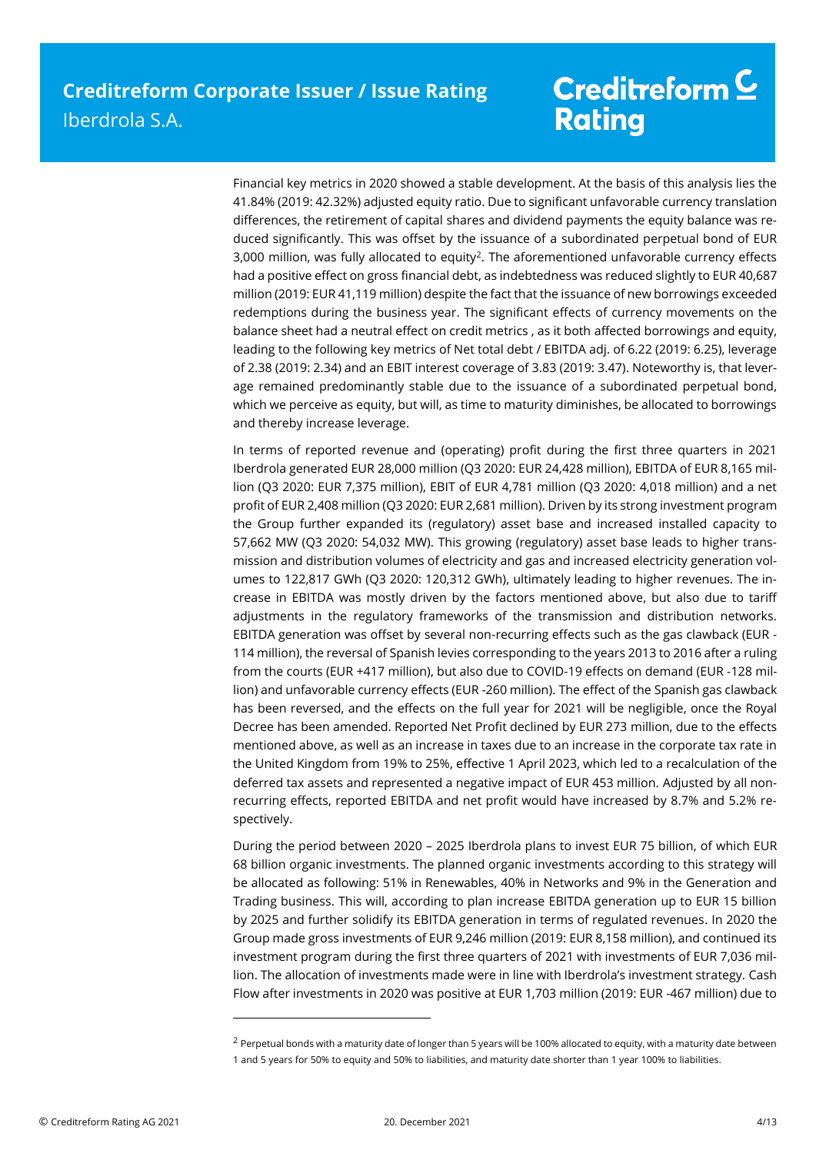Financial key metrics in 2020 showed a stable development. At the basis of this analysis lies the 41.84% (2019: 42.32%) adjusted equity ratio. Due to significant unfavorable currency translation differences, the retirement of capital shares and dividend payments the equity balance was reduced significantly. This was offset by the issuance of a subordinated perpetual bond of EUR 3,000 million, was fully allocated to equity<sup>2</sup>. The aforementioned unfavorable currency effects had a positive effect on gross financial debt, as indebtedness was reduced slightly to EUR 40,687 million (2019: EUR 41,119 million) despite the fact that the issuance of new borrowings exceeded redemptions during the business year. The significant effects of currency movements on the balance sheet had a neutral effect on credit metrics , as it both affected borrowings and equity, leading to the following key metrics of Net total debt / EBITDA adj. of 6.22 (2019: 6.25), leverage of 2.38 (2019: 2.34) and an EBIT interest coverage of 3.83 (2019: 3.47). Noteworthy is, that leverage remained predominantly stable due to the issuance of a subordinated perpetual bond, which we perceive as equity, but will, as time to maturity diminishes, be allocated to borrowings and thereby increase leverage.

In terms of reported revenue and (operating) profit during the first three quarters in 2021 Iberdrola generated EUR 28,000 million (Q3 2020: EUR 24,428 million), EBITDA of EUR 8,165 million (Q3 2020: EUR 7,375 million), EBIT of EUR 4,781 million (Q3 2020: 4,018 million) and a net profit of EUR 2,408 million (Q3 2020: EUR 2,681 million). Driven by its strong investment program the Group further expanded its (regulatory) asset base and increased installed capacity to 57,662 MW (Q3 2020: 54,032 MW). This growing (regulatory) asset base leads to higher transmission and distribution volumes of electricity and gas and increased electricity generation volumes to 122,817 GWh (Q3 2020: 120,312 GWh), ultimately leading to higher revenues. The increase in EBITDA was mostly driven by the factors mentioned above, but also due to tariff adjustments in the regulatory frameworks of the transmission and distribution networks. EBITDA generation was offset by several non-recurring effects such as the gas clawback (EUR - 114 million), the reversal of Spanish levies corresponding to the years 2013 to 2016 after a ruling from the courts (EUR +417 million), but also due to COVID-19 effects on demand (EUR -128 million) and unfavorable currency effects (EUR -260 million). The effect of the Spanish gas clawback has been reversed, and the effects on the full year for 2021 will be negligible, once the Royal Decree has been amended. Reported Net Profit declined by EUR 273 million, due to the effects mentioned above, as well as an increase in taxes due to an increase in the corporate tax rate in the United Kingdom from 19% to 25%, effective 1 April 2023, which led to a recalculation of the deferred tax assets and represented a negative impact of EUR 453 million. Adjusted by all nonrecurring effects, reported EBITDA and net profit would have increased by 8.7% and 5.2% respectively.

During the period between 2020 – 2025 Iberdrola plans to invest EUR 75 billion, of which EUR 68 billion organic investments. The planned organic investments according to this strategy will be allocated as following: 51% in Renewables, 40% in Networks and 9% in the Generation and Trading business. This will, according to plan increase EBITDA generation up to EUR 15 billion by 2025 and further solidify its EBITDA generation in terms of regulated revenues. In 2020 the Group made gross investments of EUR 9,246 million (2019: EUR 8,158 million), and continued its investment program during the first three quarters of 2021 with investments of EUR 7,036 million. The allocation of investments made were in line with Iberdrola's investment strategy. Cash Flow after investments in 2020 was positive at EUR 1,703 million (2019: EUR -467 million) due to

1

<sup>&</sup>lt;sup>2</sup> Perpetual bonds with a maturity date of longer than 5 years will be 100% allocated to equity, with a maturity date between 1 and 5 years for 50% to equity and 50% to liabilities, and maturity date shorter than 1 year 100% to liabilities.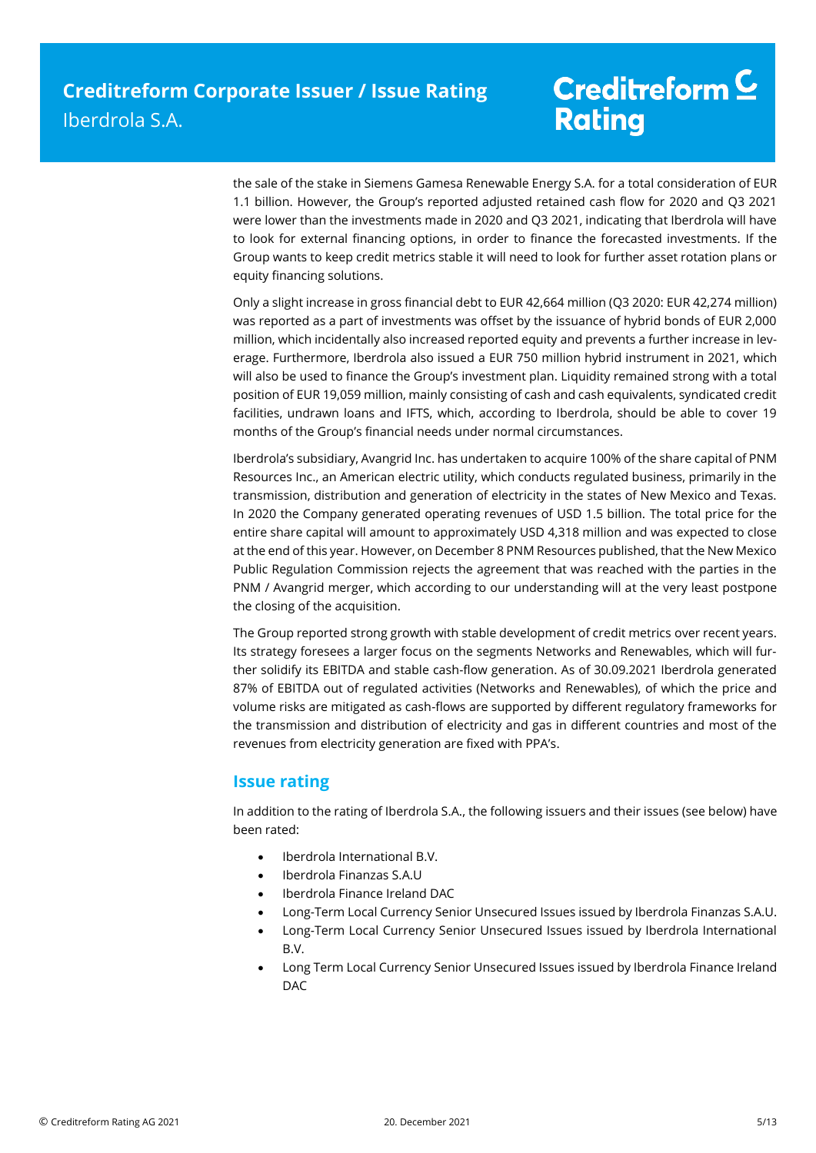the sale of the stake in Siemens Gamesa Renewable Energy S.A. for a total consideration of EUR 1.1 billion. However, the Group's reported adjusted retained cash flow for 2020 and Q3 2021 were lower than the investments made in 2020 and Q3 2021, indicating that Iberdrola will have to look for external financing options, in order to finance the forecasted investments. If the Group wants to keep credit metrics stable it will need to look for further asset rotation plans or equity financing solutions.

Only a slight increase in gross financial debt to EUR 42,664 million (Q3 2020: EUR 42,274 million) was reported as a part of investments was offset by the issuance of hybrid bonds of EUR 2,000 million, which incidentally also increased reported equity and prevents a further increase in leverage. Furthermore, Iberdrola also issued a EUR 750 million hybrid instrument in 2021, which will also be used to finance the Group's investment plan. Liquidity remained strong with a total position of EUR 19,059 million, mainly consisting of cash and cash equivalents, syndicated credit facilities, undrawn loans and IFTS, which, according to Iberdrola, should be able to cover 19 months of the Group's financial needs under normal circumstances.

Iberdrola's subsidiary, Avangrid Inc. has undertaken to acquire 100% of the share capital of PNM Resources Inc., an American electric utility, which conducts regulated business, primarily in the transmission, distribution and generation of electricity in the states of New Mexico and Texas. In 2020 the Company generated operating revenues of USD 1.5 billion. The total price for the entire share capital will amount to approximately USD 4,318 million and was expected to close at the end of this year. However, on December 8 PNM Resources published, that the New Mexico Public Regulation Commission rejects the agreement that was reached with the parties in the PNM / Avangrid merger, which according to our understanding will at the very least postpone the closing of the acquisition.

The Group reported strong growth with stable development of credit metrics over recent years. Its strategy foresees a larger focus on the segments Networks and Renewables, which will further solidify its EBITDA and stable cash-flow generation. As of 30.09.2021 Iberdrola generated 87% of EBITDA out of regulated activities (Networks and Renewables), of which the price and volume risks are mitigated as cash-flows are supported by different regulatory frameworks for the transmission and distribution of electricity and gas in different countries and most of the revenues from electricity generation are fixed with PPA's.

## **Issue rating**

In addition to the rating of Iberdrola S.A., the following issuers and their issues (see below) have been rated:

- Iberdrola International B.V.
- Iberdrola Finanzas S.A.U
- Iberdrola Finance Ireland DAC
- Long-Term Local Currency Senior Unsecured Issues issued by Iberdrola Finanzas S.A.U.
- Long-Term Local Currency Senior Unsecured Issues issued by Iberdrola International B.V.
- Long Term Local Currency Senior Unsecured Issues issued by Iberdrola Finance Ireland DAC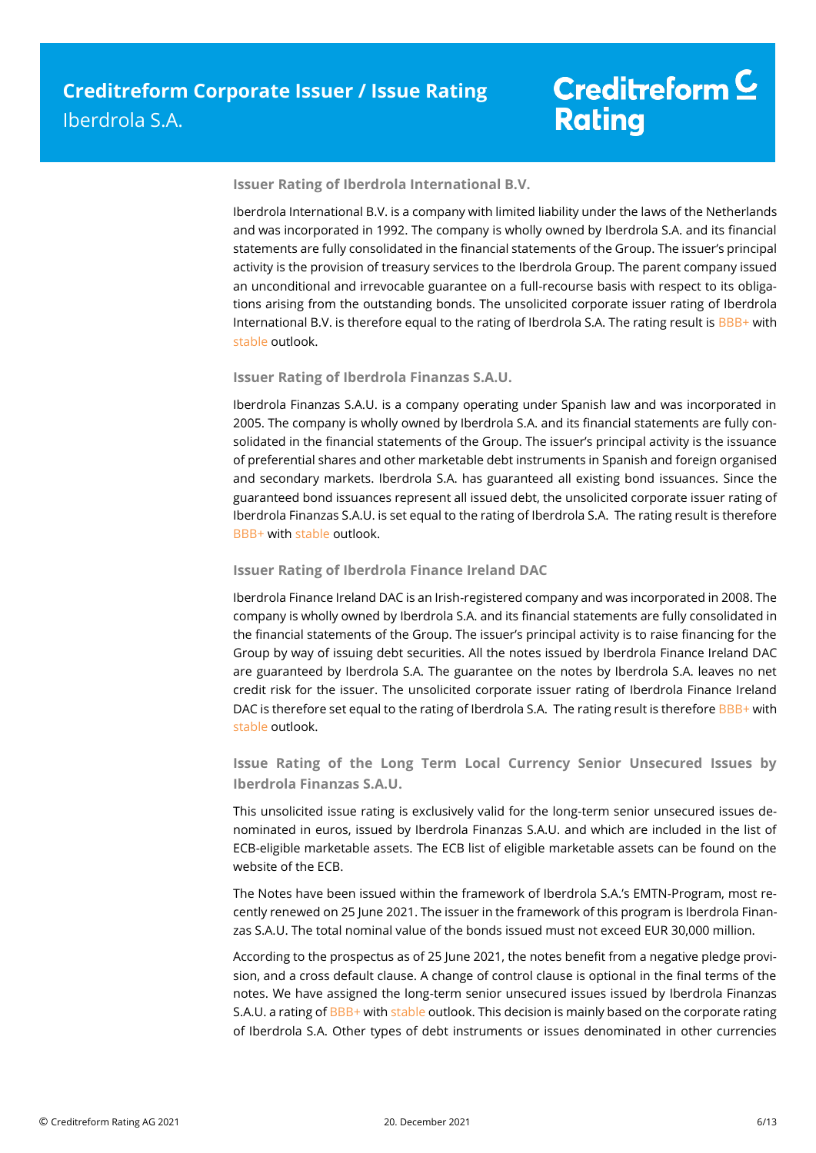### **Issuer Rating of Iberdrola International B.V.**

Iberdrola International B.V. is a company with limited liability under the laws of the Netherlands and was incorporated in 1992. The company is wholly owned by Iberdrola S.A. and its financial statements are fully consolidated in the financial statements of the Group. The issuer's principal activity is the provision of treasury services to the Iberdrola Group. The parent company issued an unconditional and irrevocable guarantee on a full-recourse basis with respect to its obligations arising from the outstanding bonds. The unsolicited corporate issuer rating of Iberdrola International B.V. is therefore equal to the rating of Iberdrola S.A. The rating result is BBB+ with stable outlook.

### **Issuer Rating of Iberdrola Finanzas S.A.U.**

Iberdrola Finanzas S.A.U. is a company operating under Spanish law and was incorporated in 2005. The company is wholly owned by Iberdrola S.A. and its financial statements are fully consolidated in the financial statements of the Group. The issuer's principal activity is the issuance of preferential shares and other marketable debt instruments in Spanish and foreign organised and secondary markets. Iberdrola S.A. has guaranteed all existing bond issuances. Since the guaranteed bond issuances represent all issued debt, the unsolicited corporate issuer rating of Iberdrola Finanzas S.A.U. is set equal to the rating of Iberdrola S.A. The rating result is therefore BBB+ with stable outlook.

### **Issuer Rating of Iberdrola Finance Ireland DAC**

Iberdrola Finance Ireland DAC is an Irish-registered company and was incorporated in 2008. The company is wholly owned by Iberdrola S.A. and its financial statements are fully consolidated in the financial statements of the Group. The issuer's principal activity is to raise financing for the Group by way of issuing debt securities. All the notes issued by Iberdrola Finance Ireland DAC are guaranteed by Iberdrola S.A. The guarantee on the notes by Iberdrola S.A. leaves no net credit risk for the issuer. The unsolicited corporate issuer rating of Iberdrola Finance Ireland DAC is therefore set equal to the rating of Iberdrola S.A. The rating result is therefore BBB+ with stable outlook.

**Issue Rating of the Long Term Local Currency Senior Unsecured Issues by Iberdrola Finanzas S.A.U.**

This unsolicited issue rating is exclusively valid for the long-term senior unsecured issues denominated in euros, issued by Iberdrola Finanzas S.A.U. and which are included in the list of ECB-eligible marketable assets. The ECB list of eligible marketable assets can be found on the website of the ECB.

The Notes have been issued within the framework of Iberdrola S.A.'s EMTN-Program, most recently renewed on 25 June 2021. The issuer in the framework of this program is Iberdrola Finanzas S.A.U. The total nominal value of the bonds issued must not exceed EUR 30,000 million.

According to the prospectus as of 25 June 2021, the notes benefit from a negative pledge provision, and a cross default clause. A change of control clause is optional in the final terms of the notes. We have assigned the long-term senior unsecured issues issued by Iberdrola Finanzas S.A.U. a rating of BBB+ with stable outlook. This decision is mainly based on the corporate rating of Iberdrola S.A. Other types of debt instruments or issues denominated in other currencies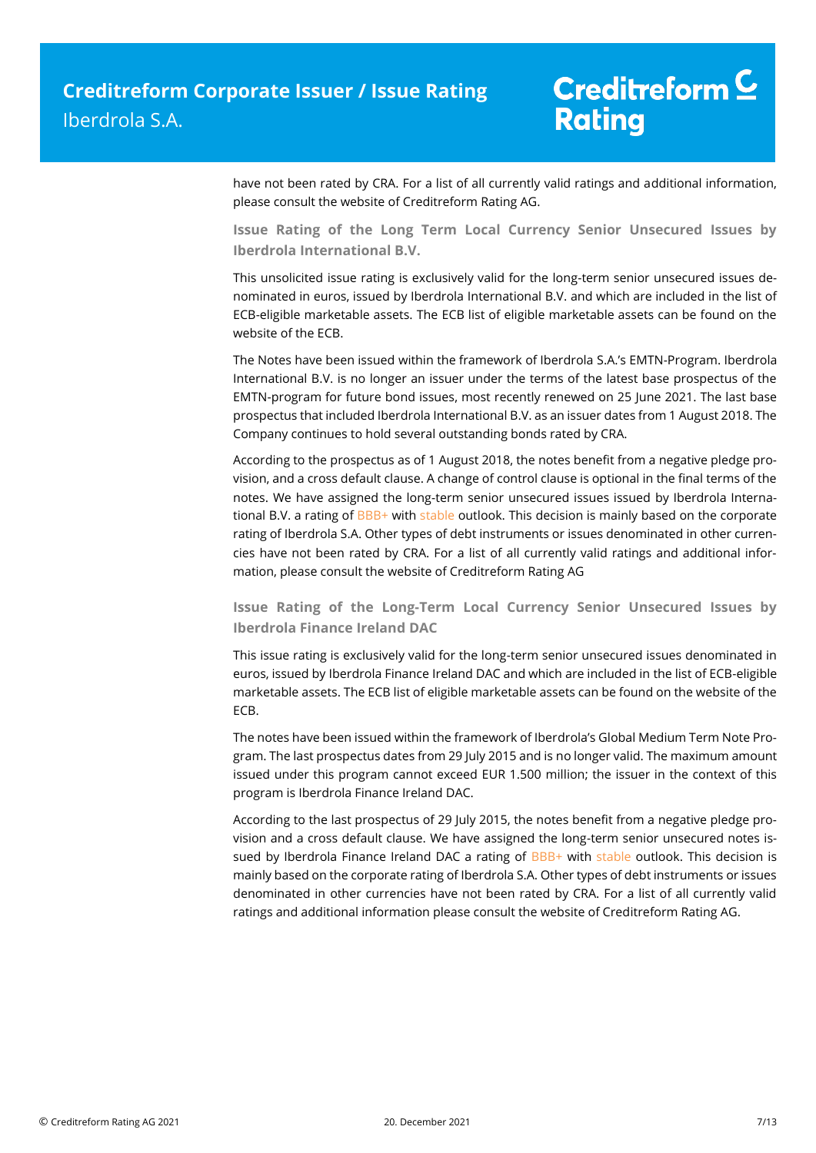have not been rated by CRA. For a list of all currently valid ratings and additional information, please consult the website of Creditreform Rating AG.

**Issue Rating of the Long Term Local Currency Senior Unsecured Issues by Iberdrola International B.V.** 

This unsolicited issue rating is exclusively valid for the long-term senior unsecured issues denominated in euros, issued by Iberdrola International B.V. and which are included in the list of ECB-eligible marketable assets. The ECB list of eligible marketable assets can be found on the website of the ECB.

The Notes have been issued within the framework of Iberdrola S.A.'s EMTN-Program. Iberdrola International B.V. is no longer an issuer under the terms of the latest base prospectus of the EMTN-program for future bond issues, most recently renewed on 25 June 2021. The last base prospectus that included Iberdrola International B.V. as an issuer dates from 1 August 2018. The Company continues to hold several outstanding bonds rated by CRA.

According to the prospectus as of 1 August 2018, the notes benefit from a negative pledge provision, and a cross default clause. A change of control clause is optional in the final terms of the notes. We have assigned the long-term senior unsecured issues issued by Iberdrola International B.V. a rating of BBB+ with stable outlook. This decision is mainly based on the corporate rating of Iberdrola S.A. Other types of debt instruments or issues denominated in other currencies have not been rated by CRA. For a list of all currently valid ratings and additional information, please consult the website of Creditreform Rating AG

**Issue Rating of the Long-Term Local Currency Senior Unsecured Issues by Iberdrola Finance Ireland DAC** 

This issue rating is exclusively valid for the long-term senior unsecured issues denominated in euros, issued by Iberdrola Finance Ireland DAC and which are included in the list of ECB-eligible marketable assets. The ECB list of eligible marketable assets can be found on the website of the ECB.

The notes have been issued within the framework of Iberdrola's Global Medium Term Note Program. The last prospectus dates from 29 July 2015 and is no longer valid. The maximum amount issued under this program cannot exceed EUR 1.500 million; the issuer in the context of this program is Iberdrola Finance Ireland DAC.

According to the last prospectus of 29 July 2015, the notes benefit from a negative pledge provision and a cross default clause. We have assigned the long-term senior unsecured notes issued by Iberdrola Finance Ireland DAC a rating of BBB+ with stable outlook. This decision is mainly based on the corporate rating of Iberdrola S.A. Other types of debt instruments or issues denominated in other currencies have not been rated by CRA. For a list of all currently valid ratings and additional information please consult the website of Creditreform Rating AG.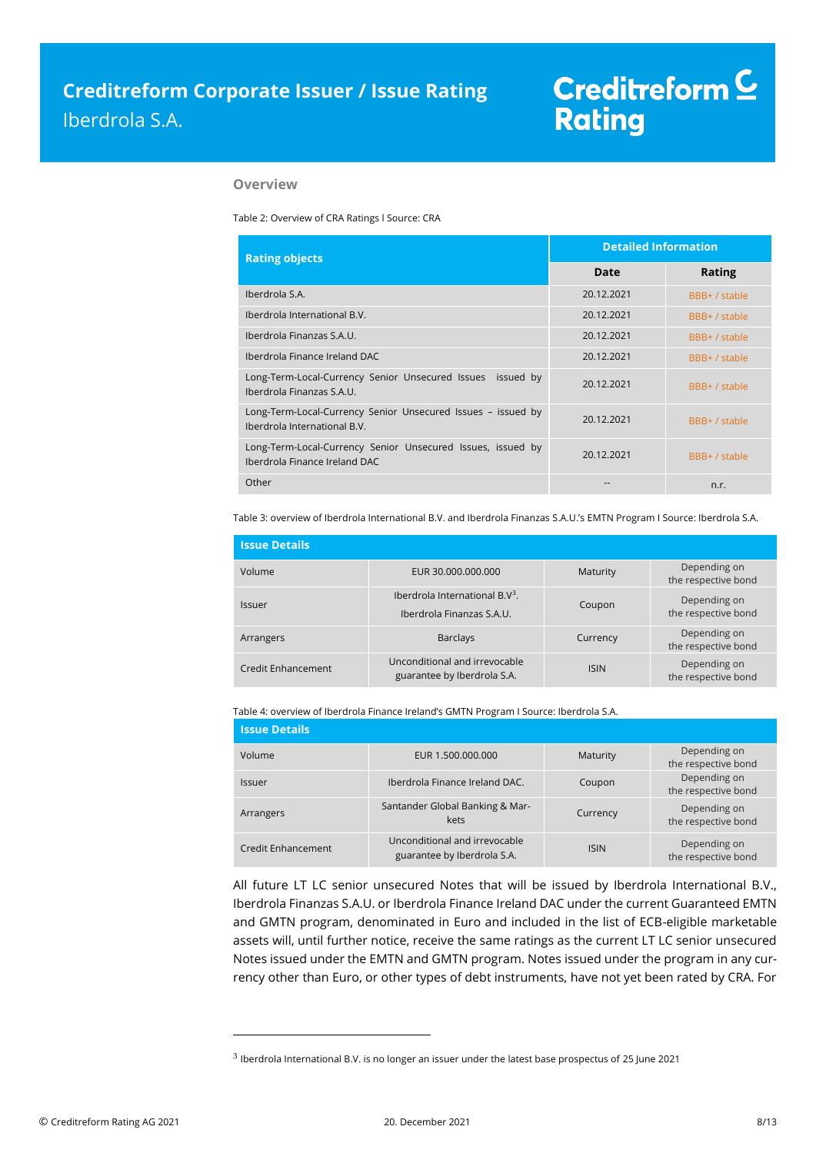### **Overview**

Table 2: Overview of CRA Ratings l Source: CRA

| <b>Rating objects</b>                                                                        | <b>Detailed Information</b> |               |  |
|----------------------------------------------------------------------------------------------|-----------------------------|---------------|--|
|                                                                                              | Date                        | <b>Rating</b> |  |
| Iberdrola S.A.                                                                               | 20.12.2021                  | BBB+ / stable |  |
| Iberdrola International B.V.                                                                 | 20.12.2021                  | BBB+ / stable |  |
| Iberdrola Finanzas S.A.U.                                                                    | 20.12.2021                  | BBB+ / stable |  |
| Iberdrola Finance Ireland DAC                                                                | 20.12.2021                  | BBB+ / stable |  |
| Long-Term-Local-Currency Senior Unsecured Issues issued by<br>Iberdrola Finanzas S.A.U.      | 20.12.2021                  | BBB+ / stable |  |
| Long-Term-Local-Currency Senior Unsecured Issues - issued by<br>Iberdrola International B.V. | 20.12.2021                  | BBB+ / stable |  |
| Long-Term-Local-Currency Senior Unsecured Issues, issued by<br>Iberdrola Finance Ireland DAC | 20.12.2021                  | BBB+ / stable |  |
| Other                                                                                        |                             | n.r.          |  |

Table 3: overview of Iberdrola International B.V. and Iberdrola Finanzas S.A.U.'s EMTN Program I Source: Iberdrola S.A.

| <b>Issue Details</b> |                                                                |             |                                     |
|----------------------|----------------------------------------------------------------|-------------|-------------------------------------|
| Volume               | EUR 30.000.000.000                                             | Maturity    | Depending on<br>the respective bond |
| Issuer               | Iberdrola International $B.V^3$ .<br>Iberdrola Finanzas S.A.U. | Coupon      | Depending on<br>the respective bond |
| Arrangers            | <b>Barclays</b>                                                | Currency    | Depending on<br>the respective bond |
| Credit Enhancement   | Unconditional and irrevocable<br>guarantee by Iberdrola S.A.   | <b>ISIN</b> | Depending on<br>the respective bond |

Table 4: overview of Iberdrola Finance Ireland's GMTN Program I Source: Iberdrola S.A.

| <b>Issue Details</b> |                                                              |             |                                     |
|----------------------|--------------------------------------------------------------|-------------|-------------------------------------|
| Volume               | EUR 1.500.000.000                                            | Maturity    | Depending on<br>the respective bond |
| Issuer               | Iberdrola Finance Ireland DAC.                               | Coupon      | Depending on<br>the respective bond |
| Arrangers            | Santander Global Banking & Mar-<br>kets                      | Currency    | Depending on<br>the respective bond |
| Credit Enhancement   | Unconditional and irrevocable<br>guarantee by Iberdrola S.A. | <b>ISIN</b> | Depending on<br>the respective bond |

All future LT LC senior unsecured Notes that will be issued by Iberdrola International B.V., Iberdrola Finanzas S.A.U. or Iberdrola Finance Ireland DAC under the current Guaranteed EMTN and GMTN program, denominated in Euro and included in the list of ECB-eligible marketable assets will, until further notice, receive the same ratings as the current LT LC senior unsecured Notes issued under the EMTN and GMTN program. Notes issued under the program in any currency other than Euro, or other types of debt instruments, have not yet been rated by CRA. For

 $\overline{a}$ 

 $^3$  Iberdrola International B.V. is no longer an issuer under the latest base prospectus of 25 June 2021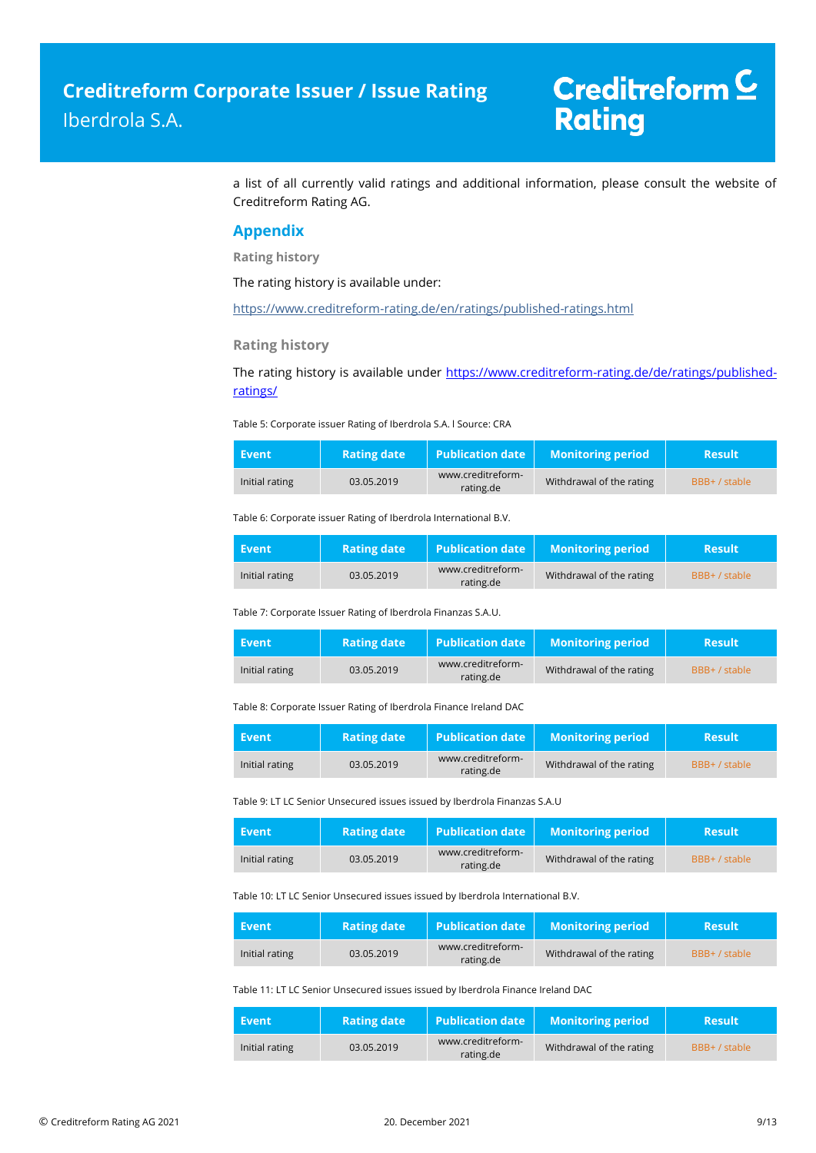# Creditreform<sup>C</sup> **Rating**

a list of all currently valid ratings and additional information, please consult the website of Creditreform Rating AG.

### **Appendix**

**Rating history**

The rating history is available under:

<https://www.creditreform-rating.de/en/ratings/published-ratings.html>

**Rating history**

The rating history is available under [https://www.creditreform-rating.de/de/ratings/published](https://www.creditreform-rating.de/de/ratings/published-ratings/)[ratings/](https://www.creditreform-rating.de/de/ratings/published-ratings/)

Table 5: Corporate issuer Rating of Iberdrola S.A. l Source: CRA

| Event          | <b>Rating date</b> | $\blacksquare$ Publication date $\blacksquare$ | <b>Monitoring period</b> | <b>Result</b> |
|----------------|--------------------|------------------------------------------------|--------------------------|---------------|
| Initial rating | 03.05.2019         | www.creditreform-<br>rating.de                 | Withdrawal of the rating | BBB+ / stable |

Table 6: Corporate issuer Rating of Iberdrola International B.V.

| Event          | <b>Rating date</b> | <b>Publication date</b>        | <b>Monitoring period</b> | <b>Result</b> |
|----------------|--------------------|--------------------------------|--------------------------|---------------|
| Initial rating | 03.05.2019         | www.creditreform-<br>rating.de | Withdrawal of the rating | BBB+ / stable |

Table 7: Corporate Issuer Rating of Iberdrola Finanzas S.A.U.

| Event          | <b>Rating date</b> | $\blacksquare$ Publication date $\blacksquare$ | <b>Monitoring period</b> | <b>Result</b> |
|----------------|--------------------|------------------------------------------------|--------------------------|---------------|
| Initial rating | 03.05.2019         | www.creditreform-<br>rating.de                 | Withdrawal of the rating | BBB+ / stable |

Table 8: Corporate Issuer Rating of Iberdrola Finance Ireland DAC

| Event          | <b>Rating date</b> | $\mid$ Publication date $\mid$ | <b>Monitoring period</b> | <b>Result</b> |
|----------------|--------------------|--------------------------------|--------------------------|---------------|
| Initial rating | 03.05.2019         | www.creditreform-<br>rating.de | Withdrawal of the rating | BBB+ / stable |

Table 9: LT LC Senior Unsecured issues issued by Iberdrola Finanzas S.A.U

| Event          | <b>Rating date</b> | <b>Publication date</b>        | <b>Monitoring period</b> | <b>Result</b> |
|----------------|--------------------|--------------------------------|--------------------------|---------------|
| Initial rating | 03.05.2019         | www.creditreform-<br>rating.de | Withdrawal of the rating | BBB+ / stable |

Table 10: LT LC Senior Unsecured issues issued by Iberdrola International B.V.

| Event          | <b>Rating date</b> | $\blacksquare$ Publication date | <b>Monitoring period</b> | <b>Result</b> |
|----------------|--------------------|---------------------------------|--------------------------|---------------|
| Initial rating | 03.05.2019         | www.creditreform-<br>rating.de  | Withdrawal of the rating | BBB+ / stable |

Table 11: LT LC Senior Unsecured issues issued by Iberdrola Finance Ireland DAC

| Event          | <b>Rating date</b> | <b>Publication date</b>        | <b>Monitoring period</b> | <b>Result</b> |
|----------------|--------------------|--------------------------------|--------------------------|---------------|
| Initial rating | 03.05.2019         | www.creditreform-<br>rating.de | Withdrawal of the rating | BBB+ / stable |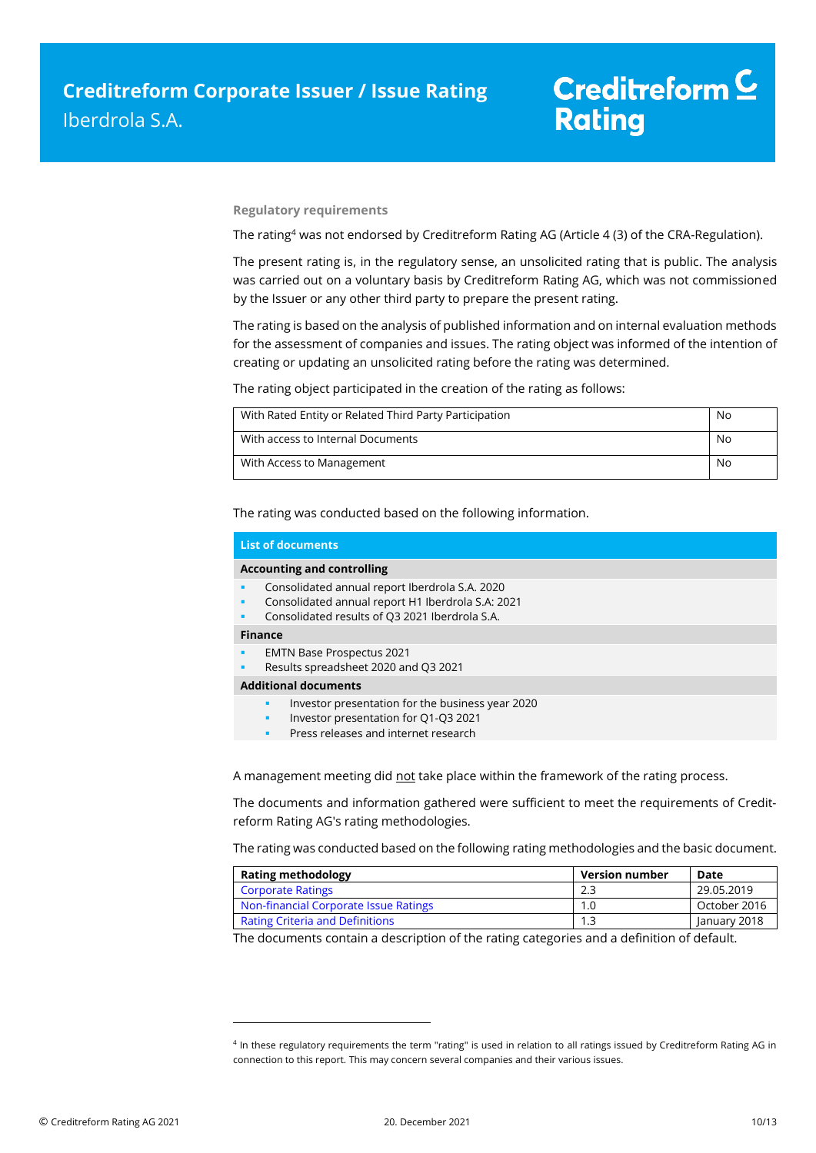**Regulatory requirements**

The rating<sup>4</sup> was not endorsed by Creditreform Rating AG (Article 4 (3) of the CRA-Regulation).

The present rating is, in the regulatory sense, an unsolicited rating that is public. The analysis was carried out on a voluntary basis by Creditreform Rating AG, which was not commissioned by the Issuer or any other third party to prepare the present rating.

The rating is based on the analysis of published information and on internal evaluation methods for the assessment of companies and issues. The rating object was informed of the intention of creating or updating an unsolicited rating before the rating was determined.

The rating object participated in the creation of the rating as follows:

| With Rated Entity or Related Third Party Participation | No |
|--------------------------------------------------------|----|
| With access to Internal Documents                      | No |
| With Access to Management                              | No |

The rating was conducted based on the following information.

| <b>List of documents</b>                                                                                                                                   |  |  |
|------------------------------------------------------------------------------------------------------------------------------------------------------------|--|--|
| <b>Accounting and controlling</b>                                                                                                                          |  |  |
| Consolidated annual report Iberdrola S.A. 2020<br>Consolidated annual report H1 Iberdrola S.A: 2021<br>Consolidated results of Q3 2021 Iberdrola S.A.<br>٠ |  |  |
| <b>Finance</b>                                                                                                                                             |  |  |
| <b>EMTN Base Prospectus 2021</b><br>٠<br>Results spreadsheet 2020 and Q3 2021<br>٠                                                                         |  |  |
| <b>Additional documents</b>                                                                                                                                |  |  |
| Investor presentation for the business year 2020<br>π<br>Investor presentation for Q1-Q3 2021<br>٠<br>Press releases and internet research<br>π            |  |  |

A management meeting did not take place within the framework of the rating process.

The documents and information gathered were sufficient to meet the requirements of Creditreform Rating AG's rating methodologies.

The rating was conducted based on the following rating methodologies and the basic document.

| <b>Rating methodology</b>              | <b>Version number</b> | Date         |
|----------------------------------------|-----------------------|--------------|
| <b>Corporate Ratings</b>               | 2.3                   | 29.05.2019   |
| Non-financial Corporate Issue Ratings  | 1.0                   | October 2016 |
| <b>Rating Criteria and Definitions</b> | 1.3                   | January 2018 |

The documents contain a description of the rating categories and a definition of default.

 $\overline{a}$ 

<sup>4</sup> In these regulatory requirements the term "rating" is used in relation to all ratings issued by Creditreform Rating AG in connection to this report. This may concern several companies and their various issues.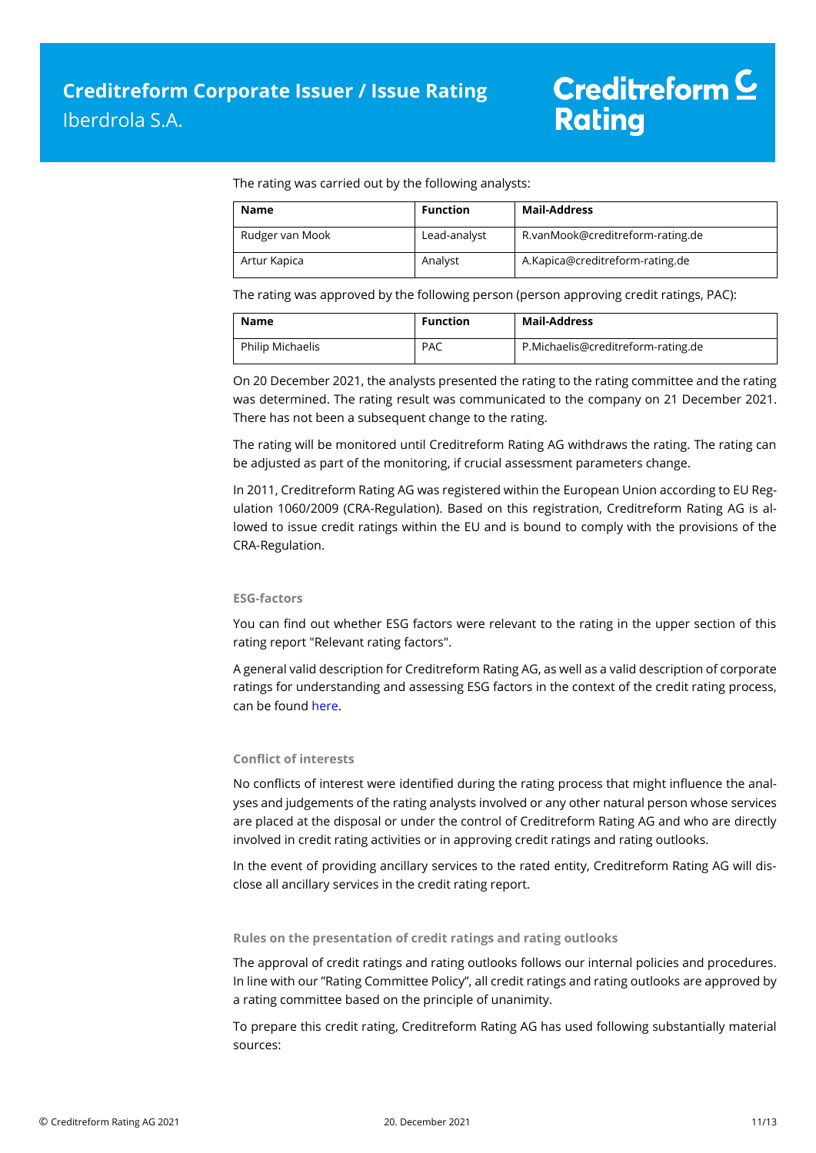The rating was carried out by the following analysts:

| <b>Name</b>     | <b>Function</b> | Mail-Address                     |
|-----------------|-----------------|----------------------------------|
| Rudger van Mook | Lead-analyst    | R.vanMook@creditreform-rating.de |
| Artur Kapica    | Analyst         | A.Kapica@creditreform-rating.de  |

The rating was approved by the following person (person approving credit ratings, PAC):

| <b>Name</b>      | <b>Function</b> | <b>Mail-Address</b>                |
|------------------|-----------------|------------------------------------|
| Philip Michaelis | <b>PAC</b>      | P.Michaelis@creditreform-rating.de |

On 20 December 2021, the analysts presented the rating to the rating committee and the rating was determined. The rating result was communicated to the company on 21 December 2021. There has not been a subsequent change to the rating.

The rating will be monitored until Creditreform Rating AG withdraws the rating. The rating can be adjusted as part of the monitoring, if crucial assessment parameters change.

In 2011, Creditreform Rating AG was registered within the European Union according to EU Regulation 1060/2009 (CRA-Regulation). Based on this registration, Creditreform Rating AG is allowed to issue credit ratings within the EU and is bound to comply with the provisions of the CRA-Regulation.

### **ESG-factors**

You can find out whether ESG factors were relevant to the rating in the upper section of this rating report "Relevant rating factors".

A general valid description for Creditreform Rating AG, as well as a valid description of corporate ratings for understanding and assessing ESG factors in the context of the credit rating process, can be foun[d here.](https://creditreform-rating.de/en/about-us/regulatory-requirements.html?file=files/content/downloads/Externes%20Rating/Regulatorische%20Anforderungen/EN/Ratingmethodiken%20EN/The%20Impact%20of%20ESG%20Factors%20on%20Credit%20Ratings.pdf)

### **Conflict of interests**

No conflicts of interest were identified during the rating process that might influence the analyses and judgements of the rating analysts involved or any other natural person whose services are placed at the disposal or under the control of Creditreform Rating AG and who are directly involved in credit rating activities or in approving credit ratings and rating outlooks.

In the event of providing ancillary services to the rated entity, Creditreform Rating AG will disclose all ancillary services in the credit rating report.

#### **Rules on the presentation of credit ratings and rating outlooks**

The approval of credit ratings and rating outlooks follows our internal policies and procedures. In line with our "Rating Committee Policy", all credit ratings and rating outlooks are approved by a rating committee based on the principle of unanimity.

To prepare this credit rating, Creditreform Rating AG has used following substantially material sources: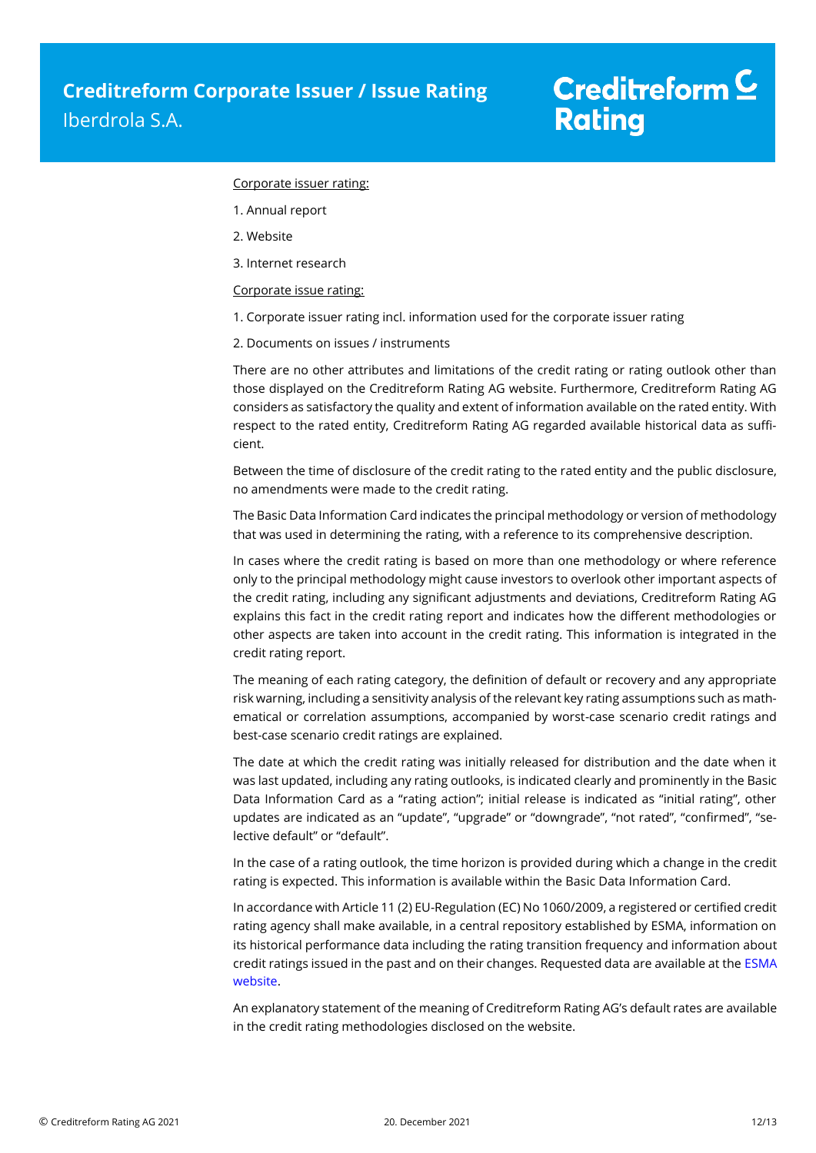### Corporate issuer rating:

- 1. Annual report
- 2. Website
- 3. Internet research

### Corporate issue rating:

- 1. Corporate issuer rating incl. information used for the corporate issuer rating
- 2. Documents on issues / instruments

There are no other attributes and limitations of the credit rating or rating outlook other than those displayed on the Creditreform Rating AG website. Furthermore, Creditreform Rating AG considers as satisfactory the quality and extent of information available on the rated entity. With respect to the rated entity, Creditreform Rating AG regarded available historical data as sufficient.

Between the time of disclosure of the credit rating to the rated entity and the public disclosure, no amendments were made to the credit rating.

The Basic Data Information Card indicates the principal methodology or version of methodology that was used in determining the rating, with a reference to its comprehensive description.

In cases where the credit rating is based on more than one methodology or where reference only to the principal methodology might cause investors to overlook other important aspects of the credit rating, including any significant adjustments and deviations, Creditreform Rating AG explains this fact in the credit rating report and indicates how the different methodologies or other aspects are taken into account in the credit rating. This information is integrated in the credit rating report.

The meaning of each rating category, the definition of default or recovery and any appropriate risk warning, including a sensitivity analysis of the relevant key rating assumptions such as mathematical or correlation assumptions, accompanied by worst-case scenario credit ratings and best-case scenario credit ratings are explained.

The date at which the credit rating was initially released for distribution and the date when it was last updated, including any rating outlooks, is indicated clearly and prominently in the Basic Data Information Card as a "rating action"; initial release is indicated as "initial rating", other updates are indicated as an "update", "upgrade" or "downgrade", "not rated", "confirmed", "selective default" or "default".

In the case of a rating outlook, the time horizon is provided during which a change in the credit rating is expected. This information is available within the Basic Data Information Card.

In accordance with Article 11 (2) EU-Regulation (EC) No 1060/2009, a registered or certified credit rating agency shall make available, in a central repository established by ESMA, information on its historical performance data including the rating transition frequency and information about credit ratings issued in the past and on their changes. Requested data are available at th[e ESMA](https://cerep.esma.europa.eu/cerep-web/statistics/defaults.xhtml)  [website.](https://cerep.esma.europa.eu/cerep-web/statistics/defaults.xhtml)

An explanatory statement of the meaning of Creditreform Rating AG's default rates are available in the credit rating methodologies disclosed on the website.